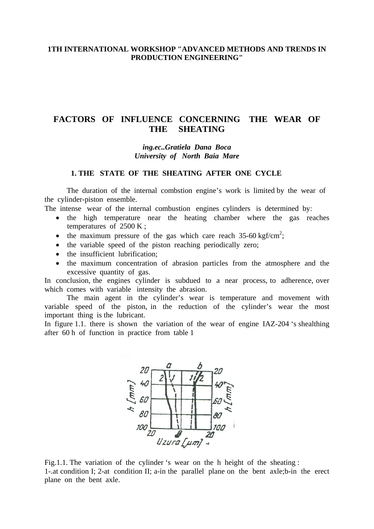## **1TH INTERNATIONAL WORKSHOP "ADVANCED METHODS AND TRENDS IN PRODUCTION ENGINEERING"**

# **FACTORS OF INFLUENCE CONCERNING THE WEAR OF THE SHEATING**

#### *ing.ec..Gratiela Dana Boca University of North Baia Mare*

## **1. THE STATE OF THE SHEATING AFTER ONE CYCLE**

 The duration of the internal combstion engine's work is limited by the wear of the cylinder-piston ensemble.

The intense wear of the internal combustion engines cylinders is determined by:

- the high temperature near the heating chamber where the gas reaches temperatures of 2500 K ;
- the maximum pressure of the gas which care reach  $35{\text -}60 \text{ kgf/cm}^2$ ;
- the variable speed of the piston reaching periodically zero;
- the insufficient lubrification;
- the maximum concentration of abrasion particles from the atmosphere and the excessive quantity of gas.

In conclusion, the engines cylinder is subdued to a near process, to adherence, over which comes with variable intensity the abrasion.

 The main agent in the cylinder's wear is temperature and movement with variable speed of the piston, in the reduction of the cylinder's wear the most important thing is the lubricant.

In figure 1.1. there is shown the variation of the wear of engine IAZ-204 's shealthing after 60 h of function in practice from table 1



Fig.1.1. The variation of the cylinder 's wear on the h height of the sheating : 1-.at condition I; 2-at condition II; a-in the parallel plane on the bent axle;b-in the erect plane on the bent axle.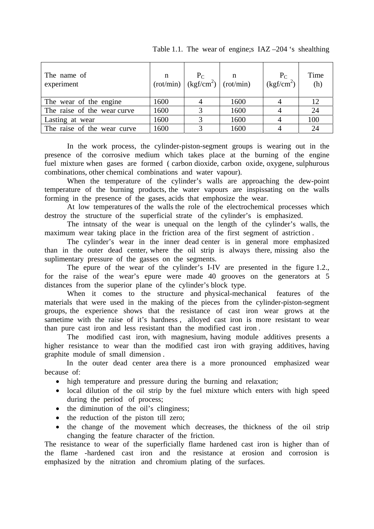| The name of<br>experiment   |      | $\begin{array}{c c} n & P_C \ (rot/min) & (kgf/cm^2) & (rot/min) \end{array}$ |      | $\frac{P_C}{(kgf/cm^2)}$ | Time<br>(h) |
|-----------------------------|------|-------------------------------------------------------------------------------|------|--------------------------|-------------|
| The wear of the engine      | 1600 |                                                                               | 1600 |                          | 12          |
| The raise of the wear curve | 1600 |                                                                               | 1600 |                          | 24          |
| Lasting at wear             | 1600 | 2                                                                             | 1600 |                          | 100         |
| The raise of the wear curve | 1600 |                                                                               | 1600 |                          | 24          |

Table 1.1. The wear of engine;s IAZ –204 's shealthing

In the work process, the cylinder-piston-segment groups is wearing out in the presence of the corrosive medium which takes place at the burning of the engine fuel mixture when gases are formed ( carbon dioxide, carbon oxide, oxygene, sulphurous combinations, other chemical combinations and water vapour).

When the temperature of the cylinder's walls are approaching the dew-point temperature of the burning products, the water vapours are inspissating on the walls forming in the presence of the gases, acids that emphosize the wear.

At low temperatures of the walls the role of the electrochemical processes which destroy the structure of the superficial strate of the cylinder's is emphasized.

The intnsaty of the wear is unequal on the length of the cylinder's walls, the maximum wear taking place in the friction area of the first segment of astriction .

The cylinder's wear in the inner dead center is in general more emphasized than in the outer dead center, where the oil strip is always there, missing also the suplimentary pressure of the gasses on the segments.

The epure of the wear of the cylinder's I-IV are presented in the figure 1.2., for the raise of the wear's epure were made 40 grooves on the generators at 5 distances from the superior plane of the cylinder's block type.

When it comes to the structure and physical-mechanical features of the materials that were used in the making of the pieces from the cylinder-piston-segment groups, the experience shows that the resistance of cast iron wear grows at the sametime with the raise of it's hardness , alloyed cast iron is more resistant to wear than pure cast iron and less resistant than the modified cast iron .

The modified cast iron, with magnesium, having module additives presents a higher resistance to wear than the modified cast iron with graying additives, having graphite module of small dimension .

 In the outer dead center area there is a more pronounced emphasized wear because of:

- high temperature and pressure during the burning and relaxation;
- local dilution of the oil strip by the fuel mixture which enters with high speed during the period of process;
- the diminution of the oil's clinginess;
- the reduction of the piston till zero;
- the change of the movement which decreases, the thickness of the oil strip changing the feature character of the friction.

The resistance to wear of the superficially flame hardened cast iron is higher than of the flame -hardened cast iron and the resistance at erosion and corrosion is emphasized by the nitration and chromium plating of the surfaces.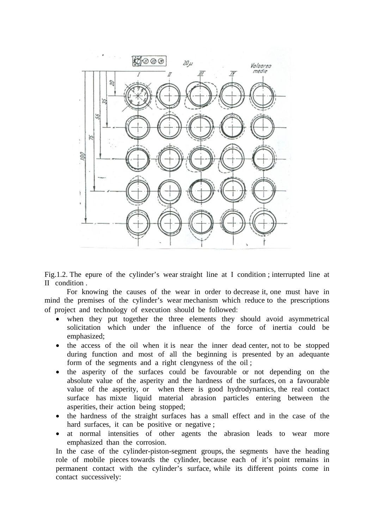

Fig.1.2. The epure of the cylinder's wear straight line at I condition ; interrupted line at II condition .

 For knowing the causes of the wear in order to decrease it, one must have in mind the premises of the cylinder's wear mechanism which reduce to the prescriptions of project and technology of execution should be followed:

- when they put together the three elements they should avoid asymmetrical solicitation which under the influence of the force of inertia could be emphasized;
- the access of the oil when it is near the inner dead center, not to be stopped during function and most of all the beginning is presented by an adequante form of the segments and a right clengyness of the oil ;
- the asperity of the surfaces could be favourable or not depending on the absolute value of the asperity and the hardness of the surfaces, on a favourable value of the asperity, or when there is good hydrodynamics, the real contact surface has mixte liquid material abrasion particles entering between the asperities, their action being stopped;
- the hardness of the straight surfaces has a small effect and in the case of the hard surfaces, it can be positive or negative;
- at normal intensities of other agents the abrasion leads to wear more emphasized than the corrosion.

In the case of the cylinder-piston-segment groups, the segments have the heading role of mobile pieces towards the cylinder, because each of it's point remains in permanent contact with the cylinder's surface, while its different points come in contact successively: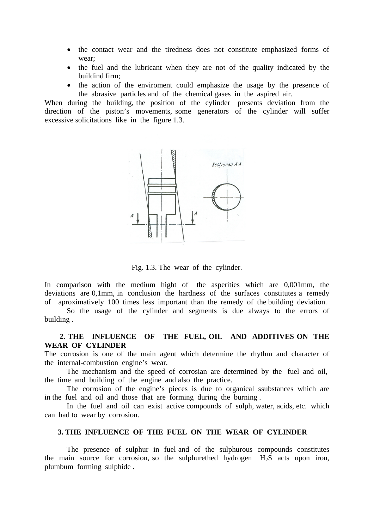- the contact wear and the tiredness does not constitute emphasized forms of wear;
- the fuel and the lubricant when they are not of the quality indicated by the buildind firm;
- the action of the enviroment could emphasize the usage by the presence of the abrasive particles and of the chemical gases in the aspired air.

When during the building, the position of the cylinder presents deviation from the direction of the piston's movements, some generators of the cylinder will suffer excessive solicitations like in the figure 1.3.



Fig. 1.3. The wear of the cylinder.

In comparison with the medium hight of the asperities which are 0,001mm, the deviations are 0,1mm, in conclusion the hardness of the surfaces constitutes a remedy of aproximatively 100 times less important than the remedy of the building deviation.

 So the usage of the cylinder and segments is due always to the errors of building .

### **2. THE INFLUENCE OF THE FUEL, OIL AND ADDITIVES ON THE WEAR OF CYLINDER**

The corrosion is one of the main agent which determine the rhythm and character of the internal-combustion engine's wear.

 The mechanism and the speed of corrosian are determined by the fuel and oil, the time and building of the engine and also the practice.

 The corrosion of the engine's pieces is due to organical ssubstances which are in the fuel and oil and those that are forming during the burning .

 In the fuel and oil can exist active compounds of sulph, water, acids, etc. which can had to wear by corrosion.

#### **3. THE INFLUENCE OF THE FUEL ON THE WEAR OF CYLINDER**

 The presence of sulphur in fuel and of the sulphurous compounds constitutes the main source for corrosion, so the sulphurethed hydrogen  $H_2S$  acts upon iron, plumbum forming sulphide .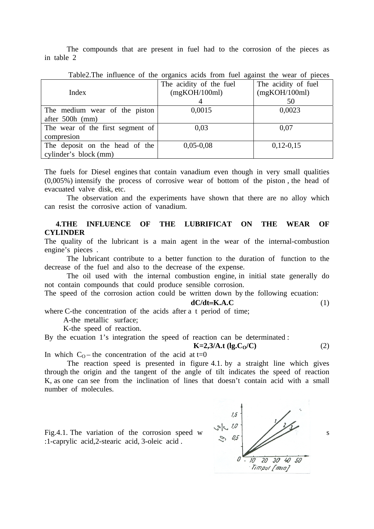The compounds that are present in fuel had to the corrosion of the pieces as in table 2

| Table2.The influence of the organics across from fuel against the wear of pieces |                         |                     |  |  |
|----------------------------------------------------------------------------------|-------------------------|---------------------|--|--|
|                                                                                  | The acidity of the fuel | The acidity of fuel |  |  |
| Index                                                                            | (mgKOH/100ml)           | (mgKOH/100ml)       |  |  |
|                                                                                  |                         | 50                  |  |  |
| The medium wear of the piston                                                    | 0,0015                  | 0,0023              |  |  |
| after $500h$ (mm)                                                                |                         |                     |  |  |
| The wear of the first segment of                                                 | 0,03                    | 0,07                |  |  |
| compresion                                                                       |                         |                     |  |  |
| The deposit on the head of the                                                   | $0,05-0,08$             | $0,12-0,15$         |  |  |
| cylinder's block (mm)                                                            |                         |                     |  |  |

Table2.The influence of the organics acids from fuel against the wear of pieces

The fuels for Diesel engines that contain vanadium even though in very small qualities (0,005%) intensify the process of corrosive wear of bottom of the piston , the head of evacuated valve disk, etc.

 The observation and the experiments have shown that there are no alloy which can resist the corrosive action of vanadium.

### **4.THE INFLUENCE OF THE LUBRIFICAT ON THE WEAR OF CYLINDER**

The quality of the lubricant is a main agent in the wear of the internal-combustion engine's pieces .

 The lubricant contribute to a better function to the duration of function to the decrease of the fuel and also to the decrease of the expense.

 The oil used with the internal combustion engine, in initial state generally do not contain compounds that could produce sensible corrosion.

The speed of the corrosion action could be written down by the following ecuation:

$$
dC/dt = K.A.C
$$
 (1)

where C-the concentration of the acids after a t period of time;

A-the metallic surface;

K-the speed of reaction.

By the ecuation 1's integration the speed of reaction can be determinated :

 $K=2,3/A.t (lg.C<sub>O</sub>/C)$  (2)

In which  $C_0$  – the concentration of the acid at t=0

The reaction speed is presented in figure 4.1. by a straight line which gives through the origin and the tangent of the angle of tilt indicates the speed of reaction K, as one can see from the inclination of lines that doesn't contain acid with a small number of molecules.

:1-caprylic acid,2-stearic acid, 3-oleic acid .